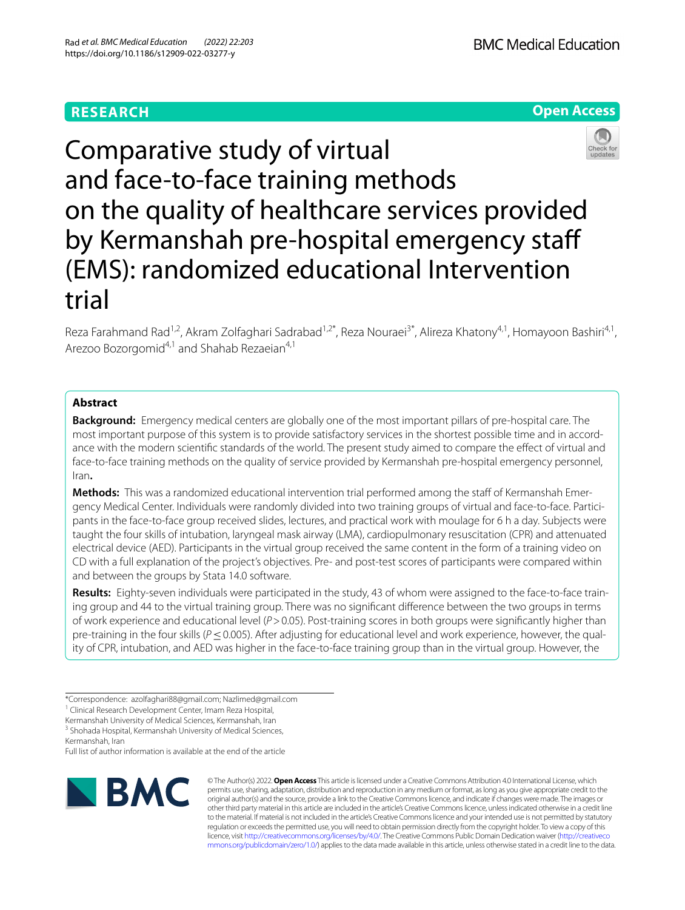# **RESEARCH**

# **Open Access**



Comparative study of virtual and face-to-face training methods on the quality of healthcare services provided by Kermanshah pre-hospital emergency staf (EMS): randomized educational Intervention trial

Reza Farahmand Rad<sup>1,2</sup>, Akram Zolfaghari Sadrabad<sup>1,2\*</sup>, Reza Nouraei<sup>3\*</sup>, Alireza Khatony<sup>4,1</sup>, Homayoon Bashiri<sup>4,1</sup>, Arezoo Bozorgomid<sup>4,1</sup> and Shahab Rezaeian<sup>4,1</sup>

# **Abstract**

**Background:** Emergency medical centers are globally one of the most important pillars of pre-hospital care. The most important purpose of this system is to provide satisfactory services in the shortest possible time and in accordance with the modern scientifc standards of the world. The present study aimed to compare the efect of virtual and face-to-face training methods on the quality of service provided by Kermanshah pre-hospital emergency personnel, Iran**.**

**Methods:** This was a randomized educational intervention trial performed among the staf of Kermanshah Emergency Medical Center. Individuals were randomly divided into two training groups of virtual and face-to-face. Participants in the face-to-face group received slides, lectures, and practical work with moulage for 6 h a day. Subjects were taught the four skills of intubation, laryngeal mask airway (LMA), cardiopulmonary resuscitation (CPR) and attenuated electrical device (AED). Participants in the virtual group received the same content in the form of a training video on CD with a full explanation of the project's objectives. Pre- and post-test scores of participants were compared within and between the groups by Stata 14.0 software.

**Results:** Eighty-seven individuals were participated in the study, 43 of whom were assigned to the face-to-face training group and 44 to the virtual training group. There was no signifcant diference between the two groups in terms of work experience and educational level (*P*>0.05). Post-training scores in both groups were signifcantly higher than pre-training in the four skills (*P* ≤ 0.005). After adjusting for educational level and work experience, however, the quality of CPR, intubation, and AED was higher in the face-to-face training group than in the virtual group. However, the

<sup>3</sup> Shohada Hospital, Kermanshah University of Medical Sciences, Kermanshah, Iran

Full list of author information is available at the end of the article



© The Author(s) 2022. **Open Access** This article is licensed under a Creative Commons Attribution 4.0 International License, which permits use, sharing, adaptation, distribution and reproduction in any medium or format, as long as you give appropriate credit to the original author(s) and the source, provide a link to the Creative Commons licence, and indicate if changes were made. The images or other third party material in this article are included in the article's Creative Commons licence, unless indicated otherwise in a credit line to the material. If material is not included in the article's Creative Commons licence and your intended use is not permitted by statutory regulation or exceeds the permitted use, you will need to obtain permission directly from the copyright holder. To view a copy of this licence, visit [http://creativecommons.org/licenses/by/4.0/.](http://creativecommons.org/licenses/by/4.0/) The Creative Commons Public Domain Dedication waiver ([http://creativeco](http://creativecommons.org/publicdomain/zero/1.0/) [mmons.org/publicdomain/zero/1.0/](http://creativecommons.org/publicdomain/zero/1.0/)) applies to the data made available in this article, unless otherwise stated in a credit line to the data.

<sup>\*</sup>Correspondence: azolfaghari88@gmail.com; Nazlimed@gmail.com

<sup>&</sup>lt;sup>1</sup> Clinical Research Development Center, Imam Reza Hospital,

Kermanshah University of Medical Sciences, Kermanshah, Iran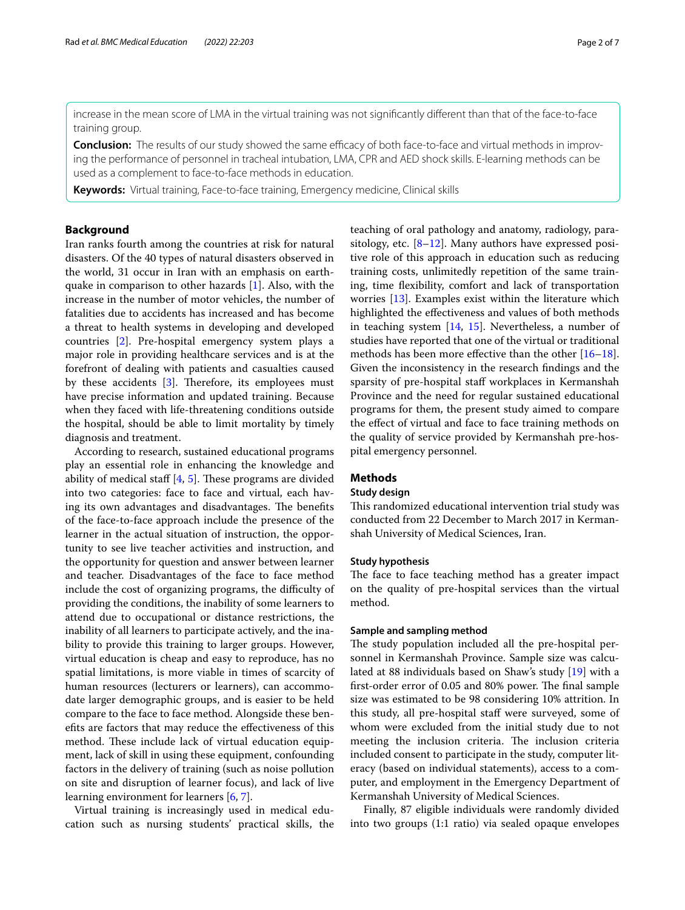increase in the mean score of LMA in the virtual training was not signifcantly diferent than that of the face-to-face training group.

**Conclusion:** The results of our study showed the same efficacy of both face-to-face and virtual methods in improving the performance of personnel in tracheal intubation, LMA, CPR and AED shock skills. E-learning methods can be used as a complement to face-to-face methods in education.

**Keywords:** Virtual training, Face-to-face training, Emergency medicine, Clinical skills

# **Background**

Iran ranks fourth among the countries at risk for natural disasters. Of the 40 types of natural disasters observed in the world, 31 occur in Iran with an emphasis on earthquake in comparison to other hazards [[1\]](#page-5-0). Also, with the increase in the number of motor vehicles, the number of fatalities due to accidents has increased and has become a threat to health systems in developing and developed countries [[2\]](#page-5-1). Pre-hospital emergency system plays a major role in providing healthcare services and is at the forefront of dealing with patients and casualties caused by these accidents  $[3]$  $[3]$ . Therefore, its employees must have precise information and updated training. Because when they faced with life-threatening conditions outside the hospital, should be able to limit mortality by timely diagnosis and treatment.

According to research, sustained educational programs play an essential role in enhancing the knowledge and ability of medical staff  $[4, 5]$  $[4, 5]$  $[4, 5]$  $[4, 5]$  $[4, 5]$ . These programs are divided into two categories: face to face and virtual, each having its own advantages and disadvantages. The benefits of the face-to-face approach include the presence of the learner in the actual situation of instruction, the opportunity to see live teacher activities and instruction, and the opportunity for question and answer between learner and teacher. Disadvantages of the face to face method include the cost of organizing programs, the difficulty of providing the conditions, the inability of some learners to attend due to occupational or distance restrictions, the inability of all learners to participate actively, and the inability to provide this training to larger groups. However, virtual education is cheap and easy to reproduce, has no spatial limitations, is more viable in times of scarcity of human resources (lecturers or learners), can accommodate larger demographic groups, and is easier to be held compare to the face to face method. Alongside these benefts are factors that may reduce the efectiveness of this method. These include lack of virtual education equipment, lack of skill in using these equipment, confounding factors in the delivery of training (such as noise pollution on site and disruption of learner focus), and lack of live learning environment for learners [\[6,](#page-5-5) [7](#page-5-6)].

Virtual training is increasingly used in medical education such as nursing students' practical skills, the teaching of oral pathology and anatomy, radiology, parasitology, etc.  $[8-12]$  $[8-12]$  $[8-12]$ . Many authors have expressed positive role of this approach in education such as reducing training costs, unlimitedly repetition of the same training, time fexibility, comfort and lack of transportation worries [\[13](#page-5-9)]. Examples exist within the literature which highlighted the efectiveness and values of both methods in teaching system [[14,](#page-5-10) [15\]](#page-5-11). Nevertheless, a number of studies have reported that one of the virtual or traditional methods has been more efective than the other [[16](#page-5-12)[–18](#page-6-0)]. Given the inconsistency in the research fndings and the sparsity of pre-hospital staf workplaces in Kermanshah Province and the need for regular sustained educational programs for them, the present study aimed to compare the efect of virtual and face to face training methods on the quality of service provided by Kermanshah pre-hospital emergency personnel.

# **Methods**

#### **Study design**

This randomized educational intervention trial study was conducted from 22 December to March 2017 in Kermanshah University of Medical Sciences, Iran.

#### **Study hypothesis**

The face to face teaching method has a greater impact on the quality of pre-hospital services than the virtual method.

## **Sample and sampling method**

The study population included all the pre-hospital personnel in Kermanshah Province. Sample size was calculated at 88 individuals based on Shaw's study [[19\]](#page-6-1) with a first-order error of 0.05 and 80% power. The final sample size was estimated to be 98 considering 10% attrition. In this study, all pre-hospital staf were surveyed, some of whom were excluded from the initial study due to not meeting the inclusion criteria. The inclusion criteria included consent to participate in the study, computer literacy (based on individual statements), access to a computer, and employment in the Emergency Department of Kermanshah University of Medical Sciences.

 Finally, 87 eligible individuals were randomly divided into two groups (1:1 ratio) via sealed opaque envelopes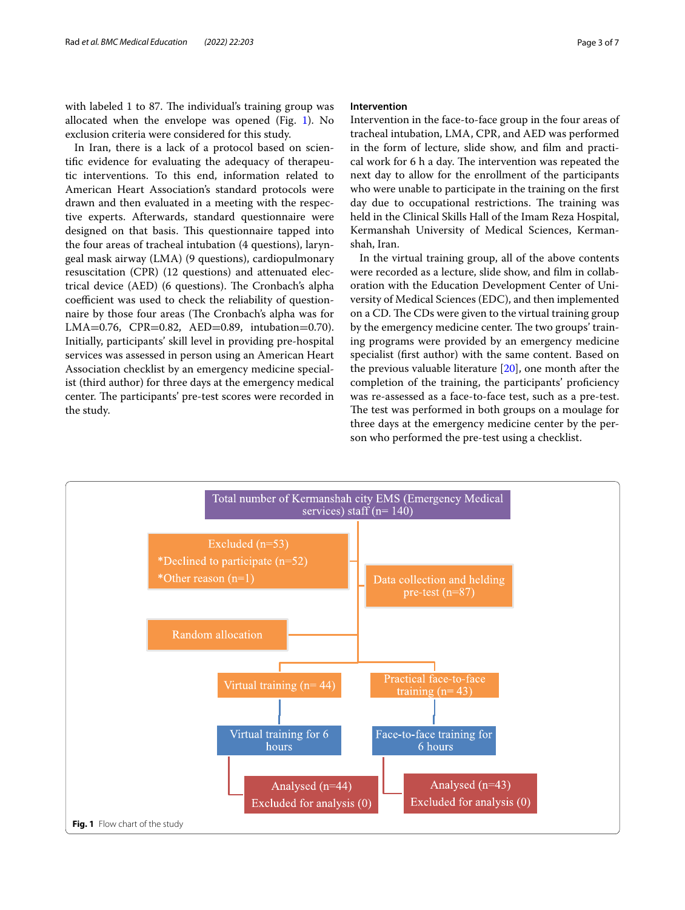with labeled 1 to 87. The individual's training group was allocated when the envelope was opened (Fig. [1\)](#page-2-0). No exclusion criteria were considered for this study.

In Iran, there is a lack of a protocol based on scientifc evidence for evaluating the adequacy of therapeutic interventions. To this end, information related to American Heart Association's standard protocols were drawn and then evaluated in a meeting with the respective experts. Afterwards, standard questionnaire were designed on that basis. This questionnaire tapped into the four areas of tracheal intubation (4 questions), laryngeal mask airway (LMA) (9 questions), cardiopulmonary resuscitation (CPR) (12 questions) and attenuated electrical device (AED) (6 questions). The Cronbach's alpha coefficient was used to check the reliability of questionnaire by those four areas (The Cronbach's alpha was for LMA=0.76, CPR=0.82, AED=0.89, intubation=0.70). Initially, participants' skill level in providing pre-hospital services was assessed in person using an American Heart Association checklist by an emergency medicine specialist (third author) for three days at the emergency medical center. The participants' pre-test scores were recorded in the study.

# **Intervention**

Intervention in the face-to-face group in the four areas of tracheal intubation, LMA, CPR, and AED was performed in the form of lecture, slide show, and flm and practical work for 6 h a day. The intervention was repeated the next day to allow for the enrollment of the participants who were unable to participate in the training on the frst day due to occupational restrictions. The training was held in the Clinical Skills Hall of the Imam Reza Hospital, Kermanshah University of Medical Sciences, Kermanshah, Iran.

In the virtual training group, all of the above contents were recorded as a lecture, slide show, and flm in collaboration with the Education Development Center of University of Medical Sciences (EDC), and then implemented on a CD. The CDs were given to the virtual training group by the emergency medicine center. The two groups' training programs were provided by an emergency medicine specialist (frst author) with the same content. Based on the previous valuable literature [\[20\]](#page-6-2), one month after the completion of the training, the participants' proficiency was re-assessed as a face-to-face test, such as a pre-test. The test was performed in both groups on a moulage for three days at the emergency medicine center by the person who performed the pre-test using a checklist.

<span id="page-2-0"></span>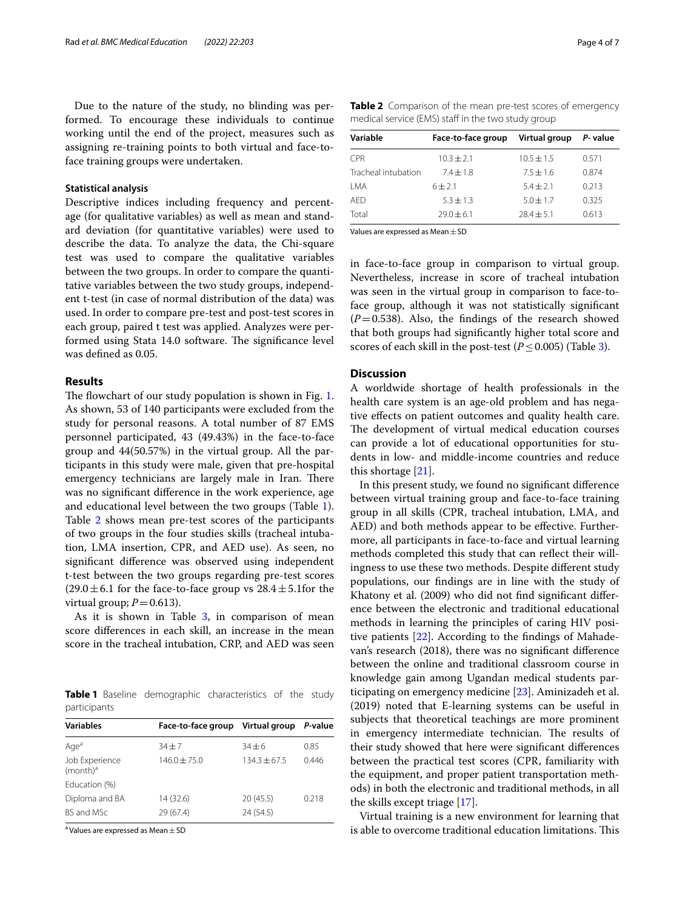Due to the nature of the study, no blinding was performed. To encourage these individuals to continue working until the end of the project, measures such as assigning re-training points to both virtual and face-toface training groups were undertaken.

# **Statistical analysis**

Descriptive indices including frequency and percentage (for qualitative variables) as well as mean and standard deviation (for quantitative variables) were used to describe the data. To analyze the data, the Chi-square test was used to compare the qualitative variables between the two groups. In order to compare the quantitative variables between the two study groups, independent t-test (in case of normal distribution of the data) was used. In order to compare pre-test and post-test scores in each group, paired t test was applied. Analyzes were performed using Stata 14.0 software. The significance level was defned as 0.05.

# **Results**

The flowchart of our study population is shown in Fig. [1](#page-2-0). As shown, 53 of 140 participants were excluded from the study for personal reasons. A total number of 87 EMS personnel participated, 43 (49.43%) in the face-to-face group and 44(50.57%) in the virtual group. All the participants in this study were male, given that pre-hospital emergency technicians are largely male in Iran. There was no signifcant diference in the work experience, age and educational level between the two groups (Table [1](#page-3-0)). Table [2](#page-3-1) shows mean pre-test scores of the participants of two groups in the four studies skills (tracheal intubation, LMA insertion, CPR, and AED use). As seen, no signifcant diference was observed using independent t-test between the two groups regarding pre-test scores  $(29.0 \pm 6.1$  for the face-to-face group vs  $28.4 \pm 5.1$  for the virtual group;  $P=0.613$ ).

As it is shown in Table  $3$ , in comparison of mean score diferences in each skill, an increase in the mean score in the tracheal intubation, CRP, and AED was seen

<span id="page-3-0"></span>**Table 1** Baseline demographic characteristics of the study participants

| <b>Variables</b>              | Face-to-face group Virtual group |                | P-value |
|-------------------------------|----------------------------------|----------------|---------|
| Aqe <sup>a</sup>              | $34 + 7$                         | $34 + 6$       | 0.85    |
| Job Experience<br>$(month)^a$ | $146.0 + 75.0$                   | $134.3 + 67.5$ | 0446    |
| Education (%)                 |                                  |                |         |
| Diploma and BA                | 14 (32.6)                        | 20(45.5)       | 0.218   |
| BS and MSc                    | 29 (67.4)                        | 24 (54.5)      |         |

<sup>a</sup> Values are expressed as Mean  $\pm$  SD

<span id="page-3-1"></span>

| Table 2 Comparison of the mean pre-test scores of emergency |  |  |  |
|-------------------------------------------------------------|--|--|--|
| medical service (EMS) staff in the two study group          |  |  |  |

| Variable            | Face-to-face group | Virtual group  | P- value |
|---------------------|--------------------|----------------|----------|
| CPR.                | $10.3 + 2.1$       | $10.5 \pm 1.5$ | 0.571    |
| Tracheal intubation | $7.4 + 1.8$        | $7.5 + 1.6$    | 0.874    |
| LMA                 | $6 + 2.1$          | $5.4 + 2.1$    | 0.213    |
| <b>AED</b>          | $5.3 + 1.3$        | $5.0 + 1.7$    | 0.325    |
| Total               | $79.0 + 6.1$       | $78.4 + 5.1$   | 0.613    |

Values are expressed as Mean  $\pm$  SD

in face-to-face group in comparison to virtual group. Nevertheless, increase in score of tracheal intubation was seen in the virtual group in comparison to face-toface group, although it was not statistically signifcant  $(P=0.538)$ . Also, the findings of the research showed that both groups had signifcantly higher total score and scores of each skill in the post-test ( $P \le 0.005$ ) (Table [3](#page-4-0)).

# **Discussion**

A worldwide shortage of health professionals in the health care system is an age-old problem and has negative efects on patient outcomes and quality health care. The development of virtual medical education courses can provide a lot of educational opportunities for students in low- and middle-income countries and reduce this shortage [[21\]](#page-6-3).

In this present study, we found no signifcant diference between virtual training group and face-to-face training group in all skills (CPR, tracheal intubation, LMA, and AED) and both methods appear to be efective. Furthermore, all participants in face-to-face and virtual learning methods completed this study that can refect their willingness to use these two methods. Despite diferent study populations, our fndings are in line with the study of Khatony et al. (2009) who did not fnd signifcant diference between the electronic and traditional educational methods in learning the principles of caring HIV positive patients [[22\]](#page-6-4). According to the fndings of Mahadevan's research (2018), there was no signifcant diference between the online and traditional classroom course in knowledge gain among Ugandan medical students participating on emergency medicine [\[23\]](#page-6-5). Aminizadeh et al. (2019) noted that E-learning systems can be useful in subjects that theoretical teachings are more prominent in emergency intermediate technician. The results of their study showed that here were signifcant diferences between the practical test scores (CPR, familiarity with the equipment, and proper patient transportation methods) in both the electronic and traditional methods, in all the skills except triage [\[17](#page-6-6)].

Virtual training is a new environment for learning that is able to overcome traditional education limitations. This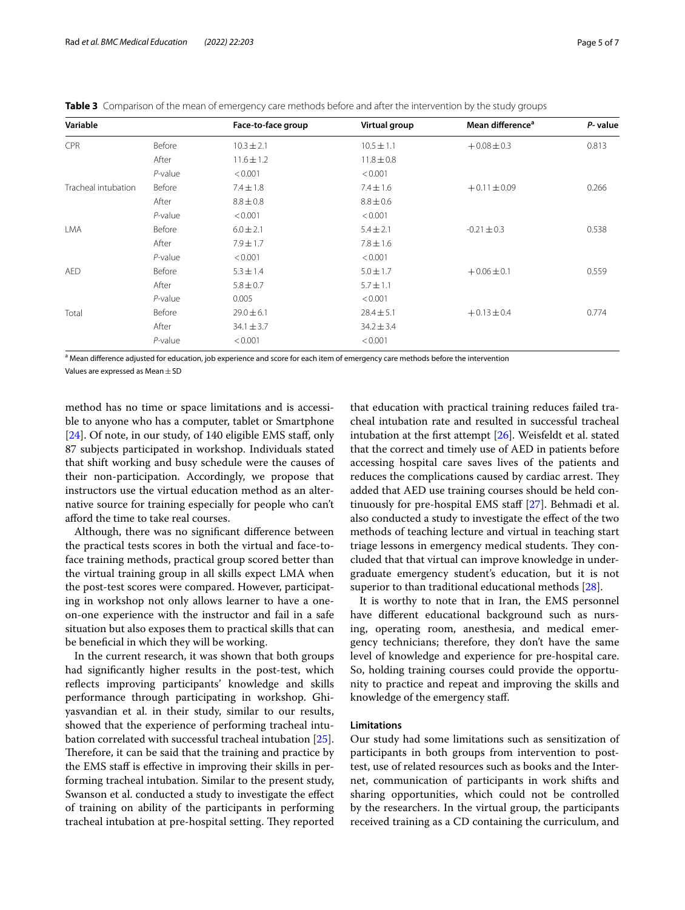| Variable            |            | Face-to-face group | Virtual group  | Mean difference <sup>a</sup> | P- value |
|---------------------|------------|--------------------|----------------|------------------------------|----------|
| CPR                 | Before     | $10.3 \pm 2.1$     | $10.5 \pm 1.1$ | $+0.08 \pm 0.3$              | 0.813    |
|                     | After      | $11.6 \pm 1.2$     | $11.8 \pm 0.8$ |                              |          |
|                     | $P$ -value | < 0.001            | < 0.001        |                              |          |
| Tracheal intubation | Before     | $7.4 \pm 1.8$      | $7.4 \pm 1.6$  | $+0.11 \pm 0.09$             | 0.266    |
|                     | After      | $8.8 \pm 0.8$      | $8.8 \pm 0.6$  |                              |          |
|                     | $P$ -value | < 0.001            | < 0.001        |                              |          |
| <b>LMA</b>          | Before     | $6.0 \pm 2.1$      | $5.4 \pm 2.1$  | $-0.21 \pm 0.3$              | 0.538    |
|                     | After      | $7.9 \pm 1.7$      | $7.8 \pm 1.6$  |                              |          |
|                     | $P$ -value | < 0.001            | < 0.001        |                              |          |
| <b>AED</b>          | Before     | $5.3 \pm 1.4$      | $5.0 \pm 1.7$  | $+0.06 \pm 0.1$              | 0.559    |
|                     | After      | $5.8 \pm 0.7$      | $5.7 \pm 1.1$  |                              |          |
|                     | $P$ -value | 0.005              | < 0.001        |                              |          |
| Total               | Before     | $29.0 \pm 6.1$     | $28.4 \pm 5.1$ | $+0.13 \pm 0.4$              | 0.774    |
|                     | After      | $34.1 \pm 3.7$     | $34.2 \pm 3.4$ |                              |          |
|                     | $P$ -value | < 0.001            | < 0.001        |                              |          |

<span id="page-4-0"></span>**Table 3** Comparison of the mean of emergency care methods before and after the intervention by the study groups

<sup>a</sup> Mean difference adjusted for education, job experience and score for each item of emergency care methods before the intervention Values are expressed as Mean±SD

method has no time or space limitations and is accessible to anyone who has a computer, tablet or Smartphone [[24\]](#page-6-7). Of note, in our study, of 140 eligible EMS staff, only 87 subjects participated in workshop. Individuals stated that shift working and busy schedule were the causes of their non-participation. Accordingly, we propose that instructors use the virtual education method as an alternative source for training especially for people who can't aford the time to take real courses.

Although, there was no signifcant diference between the practical tests scores in both the virtual and face-toface training methods, practical group scored better than the virtual training group in all skills expect LMA when the post-test scores were compared. However, participating in workshop not only allows learner to have a oneon-one experience with the instructor and fail in a safe situation but also exposes them to practical skills that can be benefcial in which they will be working.

In the current research, it was shown that both groups had signifcantly higher results in the post-test, which reflects improving participants' knowledge and skills performance through participating in workshop. Ghiyasvandian et al. in their study, similar to our results, showed that the experience of performing tracheal intubation correlated with successful tracheal intubation [\[25](#page-6-8)]. Therefore, it can be said that the training and practice by the EMS staff is effective in improving their skills in performing tracheal intubation. Similar to the present study, Swanson et al. conducted a study to investigate the efect of training on ability of the participants in performing tracheal intubation at pre-hospital setting. They reported that education with practical training reduces failed tracheal intubation rate and resulted in successful tracheal intubation at the frst attempt [[26](#page-6-9)]. Weisfeldt et al. stated that the correct and timely use of AED in patients before accessing hospital care saves lives of the patients and reduces the complications caused by cardiac arrest. They added that AED use training courses should be held con-tinuously for pre-hospital EMS staff [\[27](#page-6-10)]. Behmadi et al. also conducted a study to investigate the efect of the two methods of teaching lecture and virtual in teaching start triage lessons in emergency medical students. They concluded that that virtual can improve knowledge in undergraduate emergency student's education, but it is not superior to than traditional educational methods [\[28\]](#page-6-11).

It is worthy to note that in Iran, the EMS personnel have diferent educational background such as nursing, operating room, anesthesia, and medical emergency technicians; therefore, they don't have the same level of knowledge and experience for pre-hospital care. So, holding training courses could provide the opportunity to practice and repeat and improving the skills and knowledge of the emergency staf.

# **Limitations**

Our study had some limitations such as sensitization of participants in both groups from intervention to posttest, use of related resources such as books and the Internet, communication of participants in work shifts and sharing opportunities, which could not be controlled by the researchers. In the virtual group, the participants received training as a CD containing the curriculum, and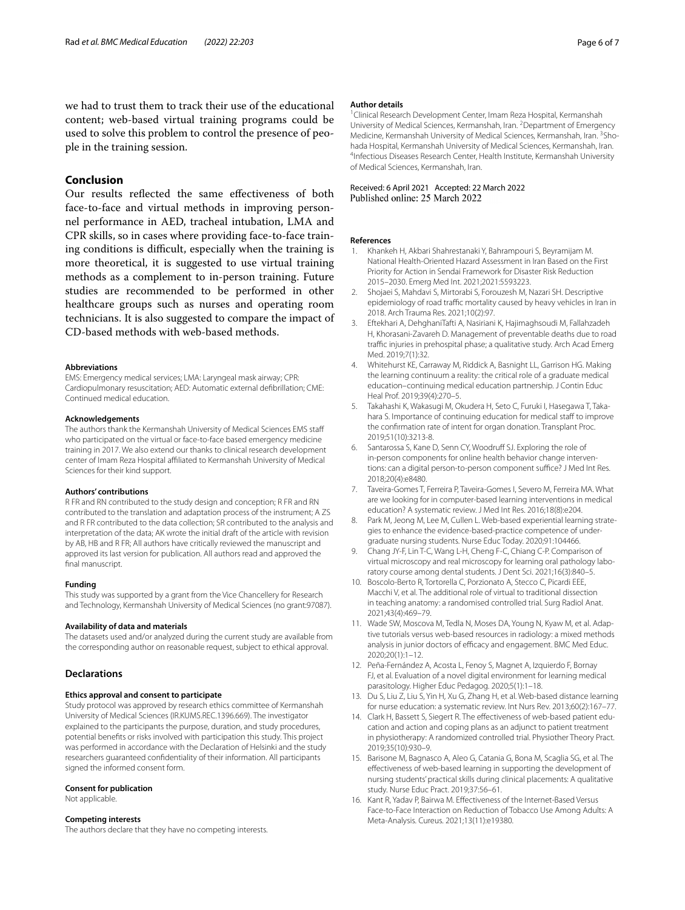# **Conclusion**

Our results refected the same efectiveness of both face-to-face and virtual methods in improving personnel performance in AED, tracheal intubation, LMA and CPR skills, so in cases where providing face-to-face training conditions is difficult, especially when the training is more theoretical, it is suggested to use virtual training methods as a complement to in-person training. Future studies are recommended to be performed in other healthcare groups such as nurses and operating room technicians. It is also suggested to compare the impact of CD-based methods with web-based methods.

#### **Abbreviations**

EMS: Emergency medical services; LMA: Laryngeal mask airway; CPR: Cardiopulmonary resuscitation; AED: Automatic external defbrillation; CME: Continued medical education.

## **Acknowledgements**

The authors thank the Kermanshah University of Medical Sciences EMS staf who participated on the virtual or face-to-face based emergency medicine training in 2017. We also extend our thanks to clinical research development center of Imam Reza Hospital affiliated to Kermanshah University of Medical Sciences for their kind support.

#### **Authors' contributions**

R FR and RN contributed to the study design and conception; R FR and RN contributed to the translation and adaptation process of the instrument; A ZS and R FR contributed to the data collection; SR contributed to the analysis and interpretation of the data; AK wrote the initial draft of the article with revision by AB, HB and R FR; All authors have critically reviewed the manuscript and approved its last version for publication. All authors read and approved the fnal manuscript.

#### **Funding**

This study was supported by a grant from the Vice Chancellery for Research and Technology, Kermanshah University of Medical Sciences (no grant:97087).

#### **Availability of data and materials**

The datasets used and/or analyzed during the current study are available from the corresponding author on reasonable request, subject to ethical approval.

#### **Declarations**

#### **Ethics approval and consent to participate**

Study protocol was approved by research ethics committee of Kermanshah University of Medical Sciences (IR.KUMS.REC.1396.669). The investigator explained to the participants the purpose, duration, and study procedures, potential benefts or risks involved with participation this study. This project was performed in accordance with the Declaration of Helsinki and the study researchers guaranteed confdentiality of their information. All participants signed the informed consent form.

#### **Consent for publication**

Not applicable.

#### **Competing interests**

The authors declare that they have no competing interests.

#### **Author details**

<sup>1</sup> Clinical Research Development Center, Imam Reza Hospital, Kermanshah University of Medical Sciences, Kermanshah, Iran. <sup>2</sup> Department of Emergency Medicine, Kermanshah University of Medical Sciences, Kermanshah, Iran. <sup>3</sup>Shohada Hospital, Kermanshah University of Medical Sciences, Kermanshah, Iran. 4 <sup>4</sup>Infectious Diseases Research Center, Health Institute, Kermanshah University of Medical Sciences, Kermanshah, Iran.

# Received: 6 April 2021 Accepted: 22 March 2022<br>Published online: 25 March 2022

#### **References**

- <span id="page-5-0"></span>1. Khankeh H, Akbari Shahrestanaki Y, Bahrampouri S, Beyramijam M. National Health-Oriented Hazard Assessment in Iran Based on the First Priority for Action in Sendai Framework for Disaster Risk Reduction 2015–2030. Emerg Med Int. 2021;2021:5593223.
- <span id="page-5-1"></span>2. Shojaei S, Mahdavi S, Mirtorabi S, Forouzesh M, Nazari SH. Descriptive epidemiology of road traffic mortality caused by heavy vehicles in Iran in 2018. Arch Trauma Res. 2021;10(2):97.
- <span id="page-5-2"></span>3. Eftekhari A, DehghaniTafti A, Nasiriani K, Hajimaghsoudi M, Fallahzadeh H, Khorasani-Zavareh D. Management of preventable deaths due to road traffic injuries in prehospital phase; a qualitative study. Arch Acad Emerg Med. 2019;7(1):32.
- <span id="page-5-3"></span>4. Whitehurst KE, Carraway M, Riddick A, Basnight LL, Garrison HG. Making the learning continuum a reality: the critical role of a graduate medical education–continuing medical education partnership. J Contin Educ Heal Prof. 2019;39(4):270–5.
- <span id="page-5-4"></span>5. Takahashi K, Wakasugi M, Okudera H, Seto C, Furuki I, Hasegawa T, Takahara S. Importance of continuing education for medical staff to improve the confrmation rate of intent for organ donation. Transplant Proc. 2019;51(10):3213-8.
- <span id="page-5-5"></span>6. Santarossa S, Kane D, Senn CY, Woodruff SJ. Exploring the role of in-person components for online health behavior change interventions: can a digital person-to-person component suffice? J Med Int Res. 2018;20(4):e8480.
- <span id="page-5-6"></span>7. Taveira-Gomes T, Ferreira P, Taveira-Gomes I, Severo M, Ferreira MA. What are we looking for in computer-based learning interventions in medical education? A systematic review. J Med Int Res. 2016;18(8):e204.
- <span id="page-5-7"></span>8. Park M, Jeong M, Lee M, Cullen L. Web-based experiential learning strategies to enhance the evidence-based-practice competence of undergraduate nursing students. Nurse Educ Today. 2020;91:104466.
- 9. Chang JY-F, Lin T-C, Wang L-H, Cheng F-C, Chiang C-P. Comparison of virtual microscopy and real microscopy for learning oral pathology laboratory course among dental students. J Dent Sci. 2021;16(3):840–5.
- 10. Boscolo-Berto R, Tortorella C, Porzionato A, Stecco C, Picardi EEE, Macchi V, et al. The additional role of virtual to traditional dissection in teaching anatomy: a randomised controlled trial. Surg Radiol Anat. 2021;43(4):469–79.
- 11. Wade SW, Moscova M, Tedla N, Moses DA, Young N, Kyaw M, et al. Adaptive tutorials versus web-based resources in radiology: a mixed methods analysis in junior doctors of efficacy and engagement. BMC Med Educ. 2020;20(1):1–12.
- <span id="page-5-8"></span>12. Peña-Fernández A, Acosta L, Fenoy S, Magnet A, Izquierdo F, Bornay FJ, et al. Evaluation of a novel digital environment for learning medical parasitology. Higher Educ Pedagog. 2020;5(1):1–18.
- <span id="page-5-9"></span>13. Du S, Liu Z, Liu S, Yin H, Xu G, Zhang H, et al. Web-based distance learning for nurse education: a systematic review. Int Nurs Rev. 2013;60(2):167–77.
- <span id="page-5-10"></span>14. Clark H, Bassett S, Siegert R. The efectiveness of web-based patient education and action and coping plans as an adjunct to patient treatment in physiotherapy: A randomized controlled trial. Physiother Theory Pract. 2019;35(10):930–9.
- <span id="page-5-11"></span>15. Barisone M, Bagnasco A, Aleo G, Catania G, Bona M, Scaglia SG, et al. The efectiveness of web-based learning in supporting the development of nursing students' practical skills during clinical placements: A qualitative study. Nurse Educ Pract. 2019;37:56–61.
- <span id="page-5-12"></span>16. Kant R, Yadav P, Bairwa M. Efectiveness of the Internet-Based Versus Face-to-Face Interaction on Reduction of Tobacco Use Among Adults: A Meta-Analysis. Cureus. 2021;13(11):e19380.